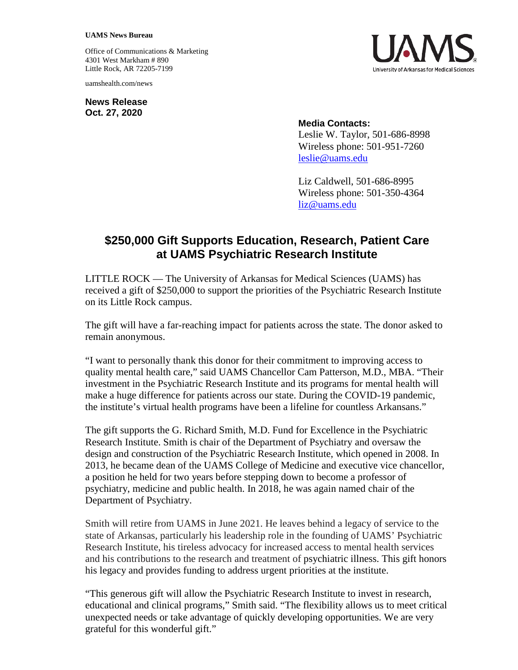## **UAMS News Bureau**

Office of Communications & Marketing 4301 West Markham # 890 Little Rock, AR 72205-7199

uamshealth.com/news

**News Release Oct. 27, 2020**



## **Media Contacts:**

Leslie W. Taylor, 501-686-8998 Wireless phone: 501-951-7260 [leslie@uams.edu](mailto:leslie@uams.edu)

Liz Caldwell, 501-686-8995 Wireless phone: 501-350-4364 [liz@uams.edu](mailto:liz@uams.edu)

## **\$250,000 Gift Supports Education, Research, Patient Care at UAMS Psychiatric Research Institute**

LITTLE ROCK — The University of Arkansas for Medical Sciences (UAMS) has received a gift of \$250,000 to support the priorities of the Psychiatric Research Institute on its Little Rock campus.

The gift will have a far-reaching impact for patients across the state. The donor asked to remain anonymous.

"I want to personally thank this donor for their commitment to improving access to quality mental health care," said UAMS Chancellor Cam Patterson, M.D., MBA. "Their investment in the Psychiatric Research Institute and its programs for mental health will make a huge difference for patients across our state. During the COVID-19 pandemic, the institute's virtual health programs have been a lifeline for countless Arkansans."

The gift supports the G. Richard Smith, M.D. Fund for Excellence in the Psychiatric Research Institute. Smith is chair of the Department of Psychiatry and oversaw the design and construction of the Psychiatric Research Institute, which opened in 2008. In 2013, he became dean of the UAMS College of Medicine and executive vice chancellor, a position he held for two years before stepping down to become a professor of psychiatry, medicine and public health. In 2018, he was again named chair of the Department of Psychiatry.

Smith will retire from UAMS in June 2021. He leaves behind a legacy of service to the state of Arkansas, particularly his leadership role in the founding of UAMS' Psychiatric Research Institute, his tireless advocacy for increased access to mental health services and his contributions to the research and treatment of psychiatric illness. This gift honors his legacy and provides funding to address urgent priorities at the institute.

"This generous gift will allow the Psychiatric Research Institute to invest in research, educational and clinical programs," Smith said. "The flexibility allows us to meet critical unexpected needs or take advantage of quickly developing opportunities. We are very grateful for this wonderful gift."